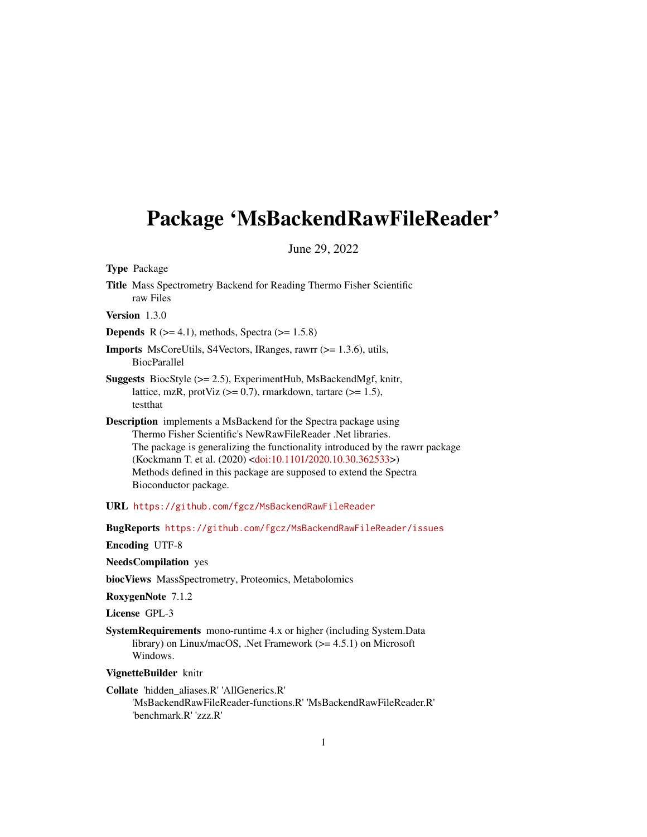## Package 'MsBackendRawFileReader'

June 29, 2022

Type Package

Title Mass Spectrometry Backend for Reading Thermo Fisher Scientific raw Files

Version 1.3.0

**Depends** R  $(>= 4.1)$ , methods, Spectra  $(>= 1.5.8)$ 

- Imports MsCoreUtils, S4Vectors, IRanges, rawrr (>= 1.3.6), utils, BiocParallel
- Suggests BiocStyle (>= 2.5), ExperimentHub, MsBackendMgf, knitr, lattice, mzR, protViz  $(>= 0.7)$ , rmarkdown, tartare  $(>= 1.5)$ , testthat
- Description implements a MsBackend for the Spectra package using Thermo Fisher Scientific's NewRawFileReader .Net libraries. The package is generalizing the functionality introduced by the rawrr package (Kockmann T. et al. (2020) [<doi:10.1101/2020.10.30.362533>](https://doi.org/10.1101/2020.10.30.362533)) Methods defined in this package are supposed to extend the Spectra Bioconductor package.
- URL <https://github.com/fgcz/MsBackendRawFileReader>

BugReports <https://github.com/fgcz/MsBackendRawFileReader/issues>

Encoding UTF-8

NeedsCompilation yes

biocViews MassSpectrometry, Proteomics, Metabolomics

RoxygenNote 7.1.2

License GPL-3

SystemRequirements mono-runtime 4.x or higher (including System.Data library) on Linux/macOS, .Net Framework ( $>= 4.5.1$ ) on Microsoft Windows.

VignetteBuilder knitr

Collate 'hidden\_aliases.R' 'AllGenerics.R' 'MsBackendRawFileReader-functions.R' 'MsBackendRawFileReader.R' 'benchmark.R' 'zzz.R'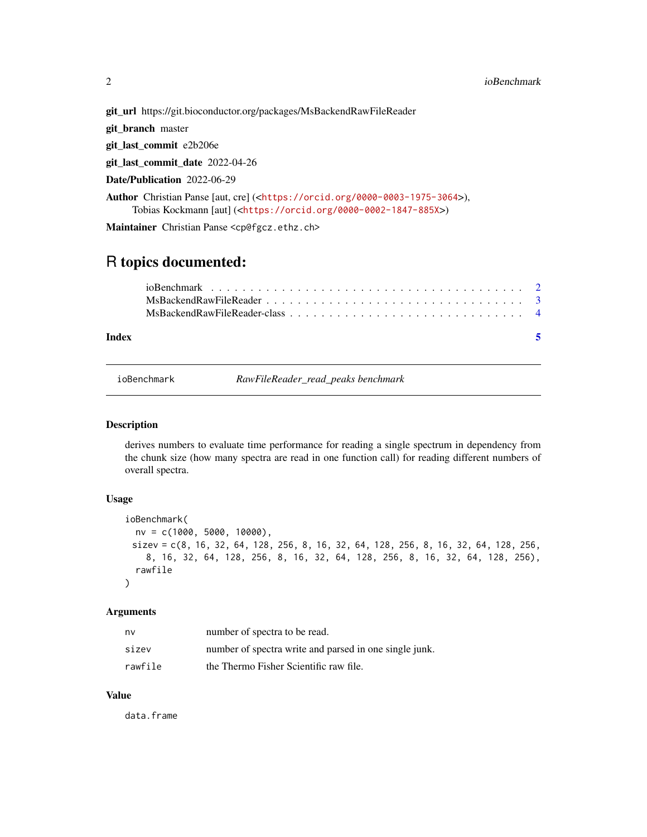git\_url https://git.bioconductor.org/packages/MsBackendRawFileReader

git\_branch master

git\_last\_commit e2b206e

git\_last\_commit\_date 2022-04-26

Date/Publication 2022-06-29

Author Christian Panse [aut, cre] (<<https://orcid.org/0000-0003-1975-3064>>), Tobias Kockmann [aut] (<<https://orcid.org/0000-0002-1847-885X>>)

Maintainer Christian Panse <cp@fgcz.ethz.ch>

### R topics documented:

| Index |  |
|-------|--|
|       |  |
|       |  |
|       |  |

ioBenchmark *RawFileReader\_read\_peaks benchmark*

#### Description

derives numbers to evaluate time performance for reading a single spectrum in dependency from the chunk size (how many spectra are read in one function call) for reading different numbers of overall spectra.

#### Usage

```
ioBenchmark(
 nv = c(1000, 5000, 10000),
 sizev = c(8, 16, 32, 64, 128, 256, 8, 16, 32, 64, 128, 256, 8, 16, 32, 64, 128, 256,
    8, 16, 32, 64, 128, 256, 8, 16, 32, 64, 128, 256, 8, 16, 32, 64, 128, 256),
  rawfile
\lambda
```
#### Arguments

| nv      | number of spectra to be read.                          |
|---------|--------------------------------------------------------|
| sizev   | number of spectra write and parsed in one single junk. |
| rawfile | the Thermo Fisher Scientific raw file.                 |

#### Value

data.frame

<span id="page-1-0"></span>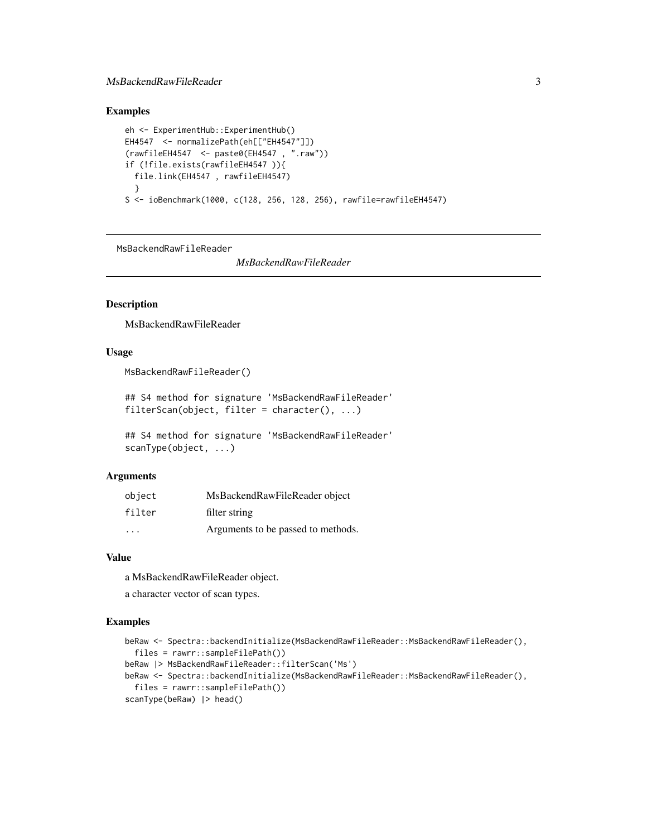#### <span id="page-2-0"></span>Examples

```
eh <- ExperimentHub::ExperimentHub()
EH4547 <- normalizePath(eh[["EH4547"]])
(rawfileEH4547 <- paste0(EH4547 , ".raw"))
if (!file.exists(rawfileEH4547 )){
  file.link(EH4547 , rawfileEH4547)
  }
S <- ioBenchmark(1000, c(128, 256, 128, 256), rawfile=rawfileEH4547)
```
MsBackendRawFileReader

*MsBackendRawFileReader*

#### Description

MsBackendRawFileReader

#### Usage

MsBackendRawFileReader()

## S4 method for signature 'MsBackendRawFileReader' filterScan(object, filter = character(), ...)

## S4 method for signature 'MsBackendRawFileReader' scanType(object, ...)

#### Arguments

| object                  | MsBackendRawFileReader object      |
|-------------------------|------------------------------------|
| filter                  | filter string                      |
| $\cdot$ $\cdot$ $\cdot$ | Arguments to be passed to methods. |

#### Value

a MsBackendRawFileReader object.

a character vector of scan types.

#### Examples

```
beRaw <- Spectra::backendInitialize(MsBackendRawFileReader::MsBackendRawFileReader(),
  files = rawrr::sampleFilePath())
beRaw |> MsBackendRawFileReader::filterScan('Ms')
beRaw <- Spectra::backendInitialize(MsBackendRawFileReader::MsBackendRawFileReader(),
  files = rawrr::sampleFilePath())
scanType(beRaw) |> head()
```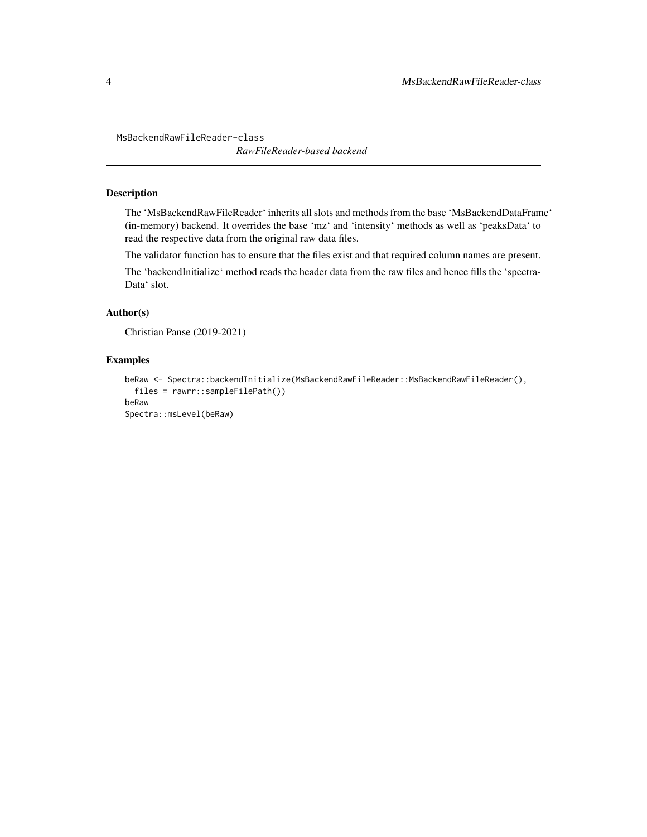<span id="page-3-0"></span>MsBackendRawFileReader-class

*RawFileReader-based backend*

#### Description

The 'MsBackendRawFileReader' inherits all slots and methods from the base 'MsBackendDataFrame' (in-memory) backend. It overrides the base 'mz' and 'intensity' methods as well as 'peaksData' to read the respective data from the original raw data files.

The validator function has to ensure that the files exist and that required column names are present.

The 'backendInitialize' method reads the header data from the raw files and hence fills the 'spectra-Data' slot.

#### Author(s)

```
Christian Panse (2019-2021)
```
#### Examples

```
beRaw <- Spectra::backendInitialize(MsBackendRawFileReader::MsBackendRawFileReader(),
  files = rawrr::sampleFilePath())
beRaw
Spectra::msLevel(beRaw)
```